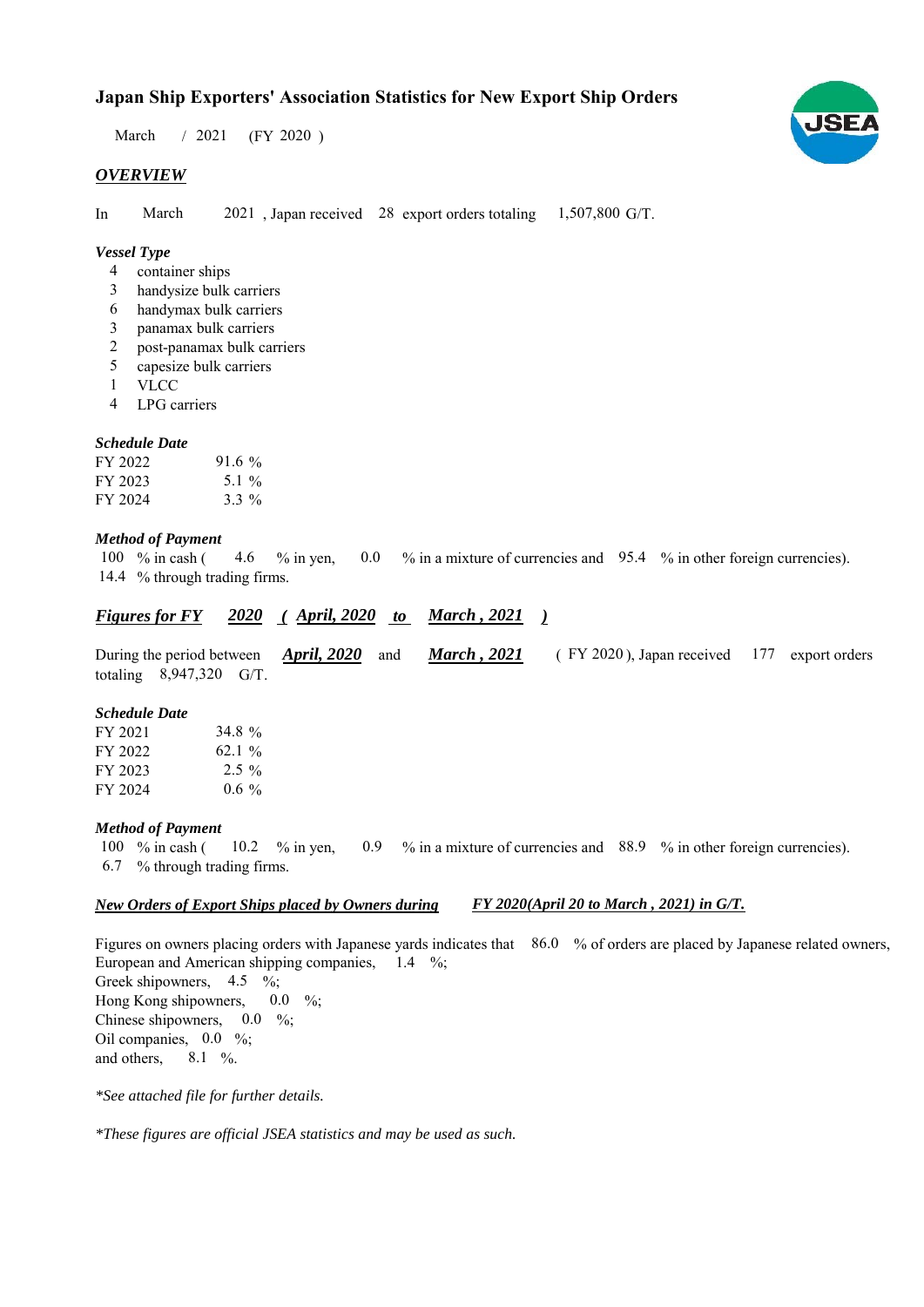# **Japan Ship Exporters' Association Statistics for New Export Ship Orders**

 $/ 2021$  (FY 2020) March

# *OVERVIEW*

In March 2021, Japan received 28 export orders totaling 1,507,800 G/T. March

## *Vessel Type*

- container ships 4
- handysize bulk carriers 3
- handymax bulk carriers 6
- panamax bulk carriers 3
- post-panamax bulk carriers 2
- capesize bulk carriers 5
- VLCC 1
- LPG carriers 4

## *Schedule Date*

| FY 2022 | $91.6\%$ |
|---------|----------|
| FY 2023 | 5.1 %    |
| FY 2024 | $3.3\%$  |

## *Method of Payment*

% in cash ( $\leq 4.6$  % in yen,  $\leq 0.0$  % in a mixture of currencies and  $\leq 95.4$  % in other foreign currencies). 14.4 % through trading firms. 100  $%$  in cash ( 4.6

#### *<u>Figures for FY 2020 (April, 2020 to March, 2021 )</u> March , 2021*

|                           |  |  | During the period between <i>April, 2020</i> and <i>March, 2021</i> (FY 2020), Japan received 177 export orders |  |
|---------------------------|--|--|-----------------------------------------------------------------------------------------------------------------|--|
| totaling $8,947,320$ G/T. |  |  |                                                                                                                 |  |

#### *Schedule Date*

| FY 2021 | 34.8 %   |
|---------|----------|
| FY 2022 | $62.1\%$ |
| FY 2023 | $2.5\%$  |
| FY 2024 | $0.6\%$  |

## *Method of Payment*

% in cash ( $10.2$  % in yen,  $0.9$  % in a mixture of currencies and 88.9 % in other foreign currencies). % through trading firms. 6.7 100  $%$  in cash ( 10.2 % in yen,

#### *New Orders of Export Ships placed by Owners during FY 2020(April 20 to March , 2021) in G/T.*

Figures on owners placing orders with Japanese yards indicates that 86.0 % of orders are placed by Japanese related owners, European and American shipping companies,  $1.4\%$ ; Greek shipowners,  $4.5 \frac{\%}{\%}$ Hong Kong shipowners, Chinese shipowners,  $0.0\%$ ; Oil companies,  $0.0\%$ ; and others,  $8.1\%$ .  $0.0\%$ 

*\*See attached file for further details.*

*\*These figures are official JSEA statistics and may be used as such.*

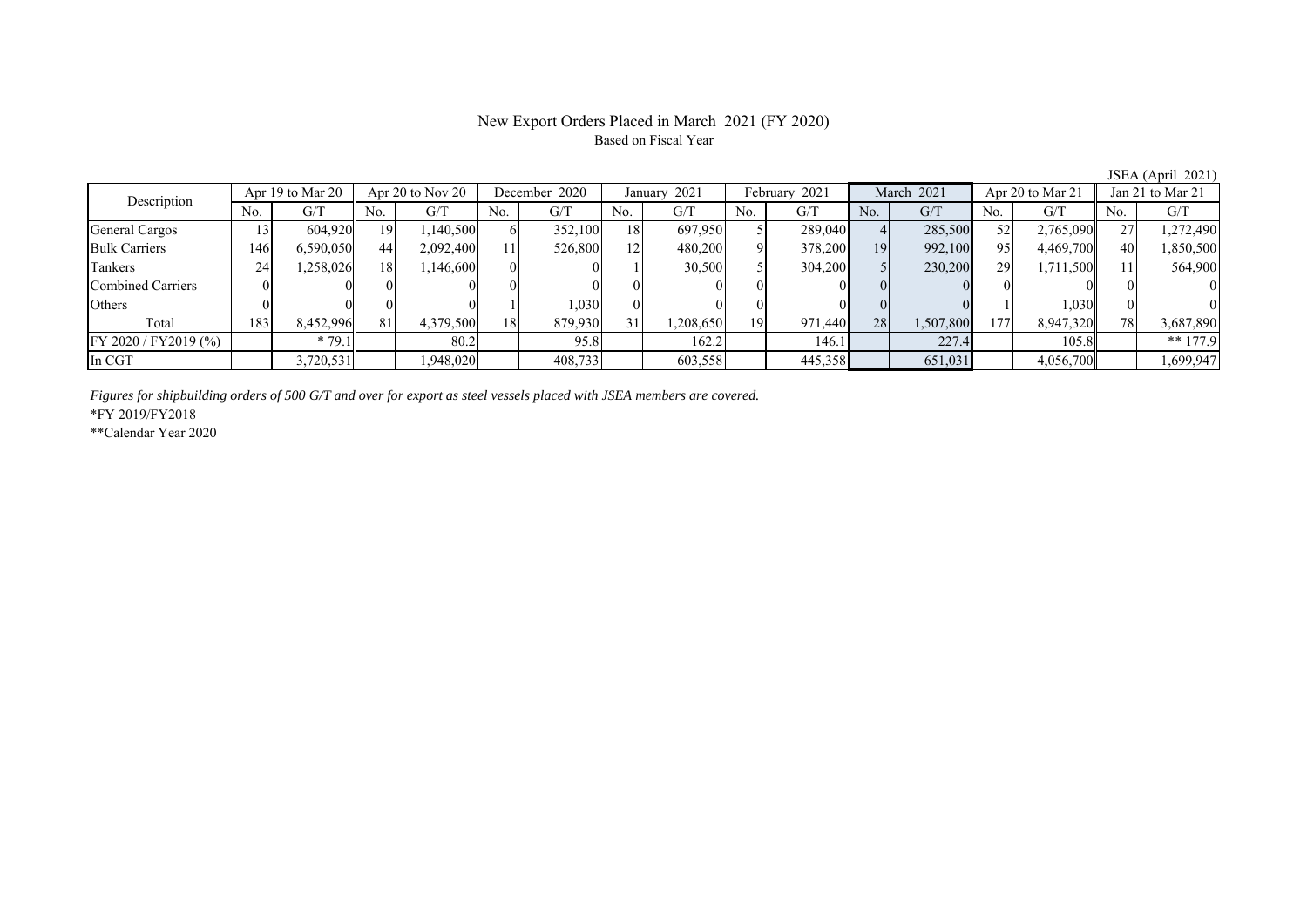# New Export Orders Placed in March 2021 (FY 2020) Based on Fiscal Year

JSEA (April 2021)

| Description             | Apr 19 to Mar 20 |           | Apr 20 to Nov 20 |           | December 2020 |         | January 2021 |           | February 2021 |         | March 2021 |           | Apr 20 to Mar 21 |           | Jan 21 to Mar 21 |            |
|-------------------------|------------------|-----------|------------------|-----------|---------------|---------|--------------|-----------|---------------|---------|------------|-----------|------------------|-----------|------------------|------------|
|                         | No.              | G/T       | No.              | G/T       | No.           | G/T     | No.          | G/T       | No.           | G/T     | No.        | G/T       | No.              | G/T       | No.              | G/T        |
| <b>General Cargos</b>   |                  | 604.920   | 19               | ,140,500  |               | 352,100 | 18           | 697,950   |               | 289,040 |            | 285,500   | 52               | 2,765,090 | $\sim$           | 1,272,490  |
| <b>Bulk Carriers</b>    | 146              | 6.590.050 | 44               | 2,092,400 |               | 526,800 | 12           | 480,200   |               | 378,200 | 19         | 992,100   | 95               | 4,469,700 | 40               | 1,850,500  |
| Tankers                 | 24               | .258,026  | 18               | 146,600   |               |         |              | 30,500    |               | 304,200 |            | 230,200   | 29               | 1,711,500 |                  | 564,900    |
| Combined Carriers       |                  |           |                  |           |               |         |              |           |               |         |            |           |                  |           |                  | $\Omega$   |
| <b>Others</b>           |                  |           |                  |           |               | 1,030   |              |           |               |         |            |           |                  | 0.030     |                  | $\Omega$   |
| Total                   | 183              | 8,452,996 | 81               | 4,379,500 | 18            | 879,930 |              | 1,208,650 | 19            | 971,440 | 28         | 1,507,800 | 177              | 8,947,320 | 78.              | 3,687,890  |
| $FY 2020 / FY 2019$ (%) |                  | $*79.1$   |                  | 80.2      |               | 95.8    |              | 162.2     |               | 146.1   |            | 227.4     |                  | 105.8     |                  | $** 177.9$ |
| In CGT                  |                  | 3,720,531 |                  | .948,020  |               | 408,733 |              | 603,558   |               | 445,358 |            | 651,031   |                  | 4,056,700 |                  | 1,699,947  |

*Figures for shipbuilding orders of 500 G/T and over for export as steel vessels placed with JSEA members are covered.*

\*FY 2019/FY2018

\*\*Calendar Year 2020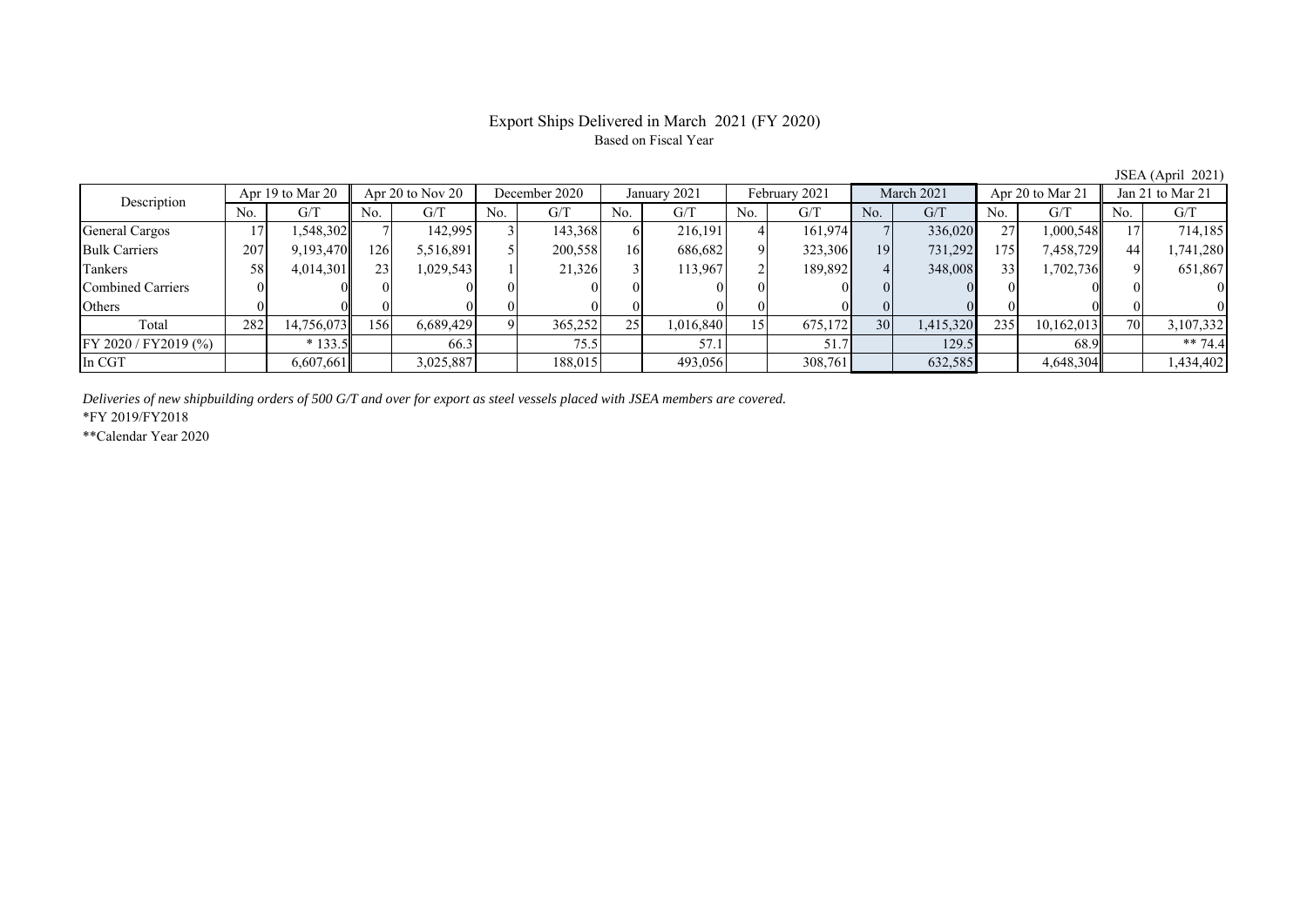# Export Ships Delivered in March 2021 (FY 2020) Based on Fiscal Year

No. G/T No. G/T No. G/T No. G/T No. G/T No. G/T No. G/T No. G/T General Cargos 1 17 1,548,302 7 142,995 3 143,368 6 216,191 4 161,974 7 336,020 27 1,000,548 17 714,185 Bulk Carriers 207 9,193,470 126 5,516,891 5 200,558 16 686,682 9 323,306 19 731,292 175 7,458,729 44 1,741,280 Tankers | 58| 4,014,301|| 23| 1,029,543| 1| 21,326| 3| 113,967| 2| 189,892| 4| 348,008| 33| 1,702,736|| 9| 651,867 Combined Carriers 0 0 0 0 0 0 0 0 0 0 0 0 0 0 0 0 Others 0 0 0 0 0 0 0 0 0 0 0 0 0 0 0 0 Total 282 14,756,073 156 6,689,429 9 365,252 25 1,016,840 15 675,172 30 1,415,320 235 10,162,013 70 3,107,332 FY 2020 / FY2019 (%) \* 133.5 66.3 66.3 75.5 57.1 57.1 57.1 57.7 129.5 68.9 + \* 74.4 In CGT | | 6,607,661 | | 3,025,887 | | 188,015 | | 493,056 | | 308,761 | | 632,585 | | 4,648,304 | | 1,434,402 Description Apr 19 to Mar 20 Apr 20 to Nov 20 December 2020 January 2021<br>No. | G/T No. | G/T No. | G/T No. | G/T February 2021 March 2021 Apr 20 to Mar 21 Jan 21 to Mar 21

*Deliveries of new shipbuilding orders of 500 G/T and over for export as steel vessels placed with JSEA members are covered.*

\*FY 2019/FY2018

\*\*Calendar Year 2020

JSEA (April 2021)